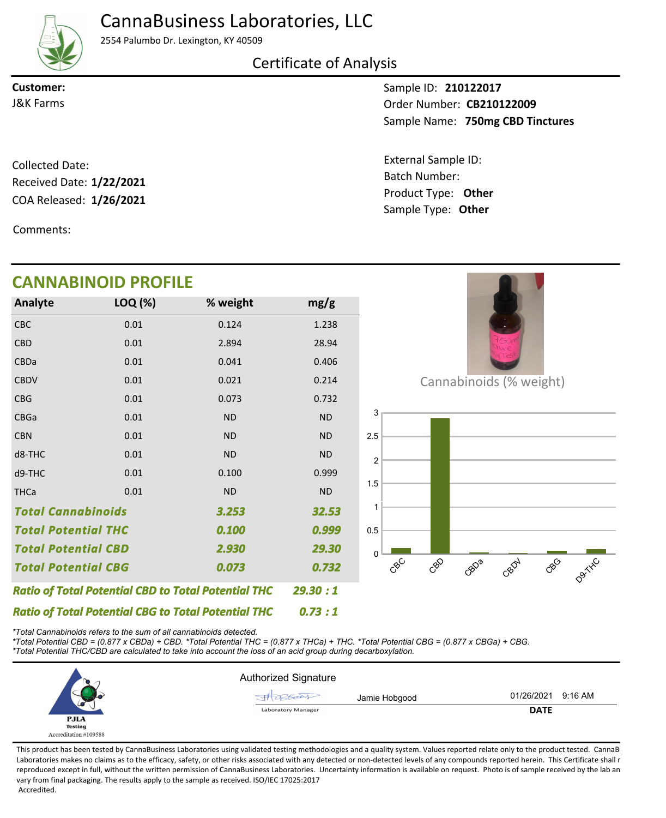CannaBusiness Laboratories, LLC



2554 Palumbo Dr. Lexington, KY 40509

Certificate of Analysis

**Customer:**

Sample ID: **210122017** Sample Name: 750mg CBD Tinctures **CB210122009** J&K Farms Order Number:

Batch Number:

External Sample ID:

Sample Type: **Other**

COA Released: 1/26/2021 Collected Date: Product Type: **Other 1/26/2021** Received Date: **1/22/2021**

Comments:

## Cannabinoids (% weight) **R**C CBD CBDa CBDV CBG D9THE  $\Omega$ 0.5 1 1.5 2 2.5 3 CBC 0.01 0.124 1.238 *0.073 0.73 : 1 29.30 : 1 3.253 Total Potential CBD 0.999 Total Potential CBG 2.930 Total Cannabinoids Ratio of Total Potential CBD to Total Potential THC 0.732 Ratio of Total Potential CBG to Total Potential THC 32.53 0.100 29.30 Total Potential THC* CBD CBDa **CBDV** CBG CBGa CBN d8-THC d9-THC **THCa** 0.01 0.01 0.01 0.01 0.01 0.01 0.01 0.01 0.01 2.894 0.041 0.021 0.073 ND ND ND 0.100 ND 28.94 0.406 0.214 0.732 ND ND ND 0.999 ND **Analyte LOQ (%) mg/g % weight CANNABINOID PROFILE**

*\*Total Cannabinoids refers to the sum of all cannabinoids detected.*

*\*Total Potential CBD = (0.877 x CBDa) + CBD. \*Total Potential THC = (0.877 x THCa) + THC. \*Total Potential CBG = (0.877 x CBGa) + CBG. \*Total Potential THC/CBD are calculated to take into account the loss of an acid group during decarboxylation.*



This product has been tested by CannaBusiness Laboratories using validated testing methodologies and a quality system. Values reported relate only to the product tested. CannaB Laboratories makes no claims as to the efficacy, safety, or other risks associated with any detected or non-detected levels of any compounds reported herein. This Certificate shall r reproduced except in full, without the written permission of CannaBusiness Laboratories. Uncertainty information is available on request. Photo is of sample received by the lab an vary from final packaging. The results apply to the sample as received. ISO/IEC 17025:2017 Accredited.